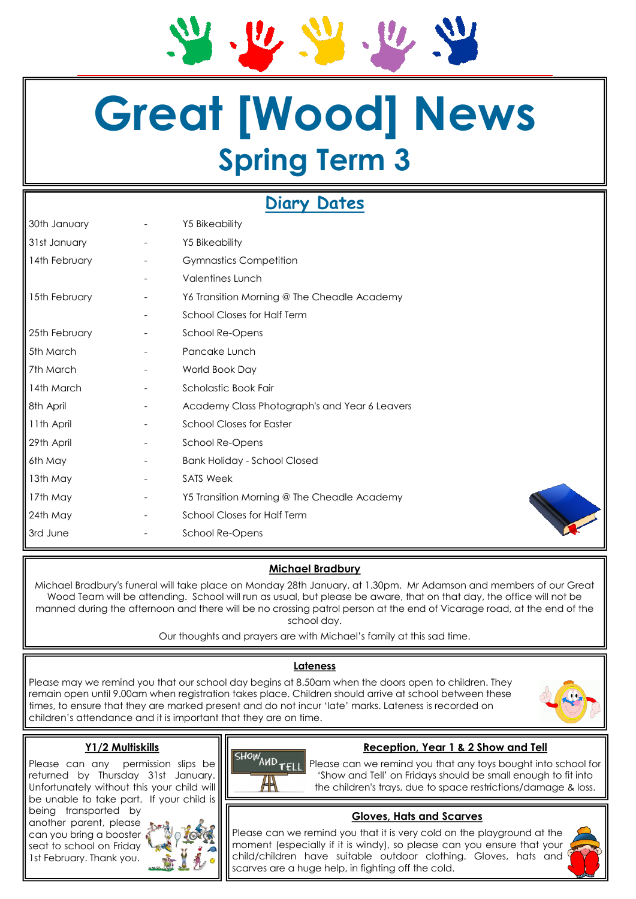# **Great [Wood] News Spring Term 3**

# **Diary Dates**

| 30th January  | <b>Y5 Bikeability</b>                         |
|---------------|-----------------------------------------------|
| 31st January  | <b>Y5 Bikeability</b>                         |
| 14th February | <b>Gymnastics Competition</b>                 |
|               | <b>Valentines Lunch</b>                       |
| 15th February | Y6 Transition Morning @ The Cheadle Academy   |
|               | School Closes for Half Term                   |
| 25th February | School Re-Opens                               |
| 5th March     | Pancake Lunch                                 |
| 7th March     | World Book Day                                |
| 14th March    | Scholastic Book Fair                          |
| 8th April     | Academy Class Photograph's and Year 6 Leavers |
| 11th April    | <b>School Closes for Easter</b>               |
| 29th April    | School Re-Opens                               |
| 6th May       | <b>Bank Holiday - School Closed</b>           |
| 13th May      | <b>SATS Week</b>                              |
| 17th May      | Y5 Transition Morning @ The Cheadle Academy   |
| 24th May      | <b>School Closes for Half Term</b>            |
| 3rd June      | School Re-Opens                               |

### **Michael Bradbury**

Michael Bradbury's funeral will take place on Monday 28th January, at 1.30pm. Mr Adamson and members of our Great Wood Team will be attending. School will run as usual, but please be aware, that on that day, the office will not be manned during the afternoon and there will be no crossing patrol person at the end of Vicarage road, at the end of the school day.

Our thoughts and prayers are with Michael's family at this sad time.

#### **Lateness**

Please may we remind you that our school day begins at 8.50am when the doors open to children. They remain open until 9.00am when registration takes place. Children should arrive at school between these times, to ensure that they are marked present and do not incur 'late' marks. Lateness is recorded on children's attendance and it is important that they are on time.



#### **Y1/2 Multiskills**

Please can any permission slips be returned by Thursday 31st January. Unfortunately without this your child will be unable to take part. If your child is

being transported by another parent, please can you bring a booster seat to school on Friday 1st February. Thank you.





**Reception, Year 1 & 2 Show and Tell**

Please can we remind you that any toys bought into school for 'Show and Tell' on Fridays should be small enough to fit into the children's trays, due to space restrictions/damage & loss.

#### **Gloves, Hats and Scarves**

Please can we remind you that it is very cold on the playground at the moment (especially if it is windy), so please can you ensure that your child/children have suitable outdoor clothing. Gloves, hats and scarves are a huge help, in fighting off the cold.